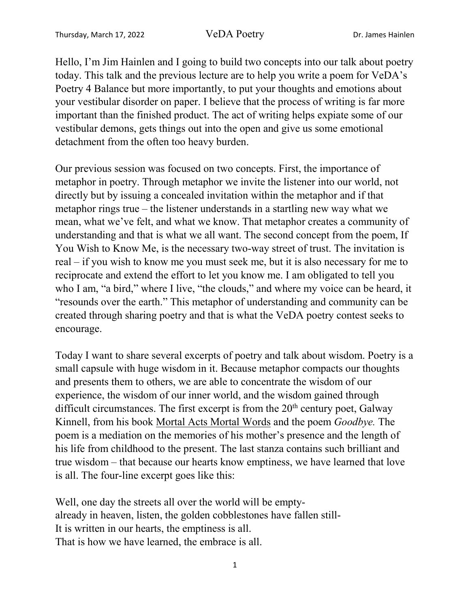Hello, I'm Jim Hainlen and I going to build two concepts into our talk about poetry today. This talk and the previous lecture are to help you write a poem for VeDA's Poetry 4 Balance but more importantly, to put your thoughts and emotions about your vestibular disorder on paper. I believe that the process of writing is far more important than the finished product. The act of writing helps expiate some of our vestibular demons, gets things out into the open and give us some emotional detachment from the often too heavy burden.

Our previous session was focused on two concepts. First, the importance of metaphor in poetry. Through metaphor we invite the listener into our world, not directly but by issuing a concealed invitation within the metaphor and if that metaphor rings true – the listener understands in a startling new way what we mean, what we've felt, and what we know. That metaphor creates a community of understanding and that is what we all want. The second concept from the poem, If You Wish to Know Me, is the necessary two-way street of trust. The invitation is real – if you wish to know me you must seek me, but it is also necessary for me to reciprocate and extend the effort to let you know me. I am obligated to tell you who I am, "a bird," where I live, "the clouds," and where my voice can be heard, it "resounds over the earth." This metaphor of understanding and community can be created through sharing poetry and that is what the VeDA poetry contest seeks to encourage.

Today I want to share several excerpts of poetry and talk about wisdom. Poetry is a small capsule with huge wisdom in it. Because metaphor compacts our thoughts and presents them to others, we are able to concentrate the wisdom of our experience, the wisdom of our inner world, and the wisdom gained through difficult circumstances. The first excerpt is from the 20<sup>th</sup> century poet, Galway Kinnell, from his book Mortal Acts Mortal Words and the poem *Goodbye.* The poem is a mediation on the memories of his mother's presence and the length of his life from childhood to the present. The last stanza contains such brilliant and true wisdom – that because our hearts know emptiness, we have learned that love is all. The four-line excerpt goes like this:

Well, one day the streets all over the world will be emptyalready in heaven, listen, the golden cobblestones have fallen still-It is written in our hearts, the emptiness is all. That is how we have learned, the embrace is all.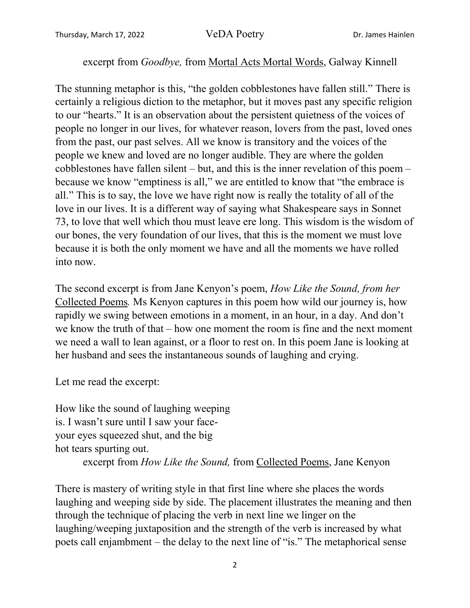## excerpt from *Goodbye,* from Mortal Acts Mortal Words, Galway Kinnell

The stunning metaphor is this, "the golden cobblestones have fallen still." There is certainly a religious diction to the metaphor, but it moves past any specific religion to our "hearts." It is an observation about the persistent quietness of the voices of people no longer in our lives, for whatever reason, lovers from the past, loved ones from the past, our past selves. All we know is transitory and the voices of the people we knew and loved are no longer audible. They are where the golden cobblestones have fallen silent – but, and this is the inner revelation of this poem – because we know "emptiness is all," we are entitled to know that "the embrace is all." This is to say, the love we have right now is really the totality of all of the love in our lives. It is a different way of saying what Shakespeare says in Sonnet 73, to love that well which thou must leave ere long. This wisdom is the wisdom of our bones, the very foundation of our lives, that this is the moment we must love because it is both the only moment we have and all the moments we have rolled into now.

The second excerpt is from Jane Kenyon's poem, *How Like the Sound, from her* Collected Poems*.* Ms Kenyon captures in this poem how wild our journey is, how rapidly we swing between emotions in a moment, in an hour, in a day. And don't we know the truth of that – how one moment the room is fine and the next moment we need a wall to lean against, or a floor to rest on. In this poem Jane is looking at her husband and sees the instantaneous sounds of laughing and crying.

Let me read the excerpt:

How like the sound of laughing weeping is. I wasn't sure until I saw your faceyour eyes squeezed shut, and the big hot tears spurting out. excerpt from *How Like the Sound,* from Collected Poems, Jane Kenyon

There is mastery of writing style in that first line where she places the words laughing and weeping side by side. The placement illustrates the meaning and then through the technique of placing the verb in next line we linger on the laughing/weeping juxtaposition and the strength of the verb is increased by what poets call enjambment – the delay to the next line of "is." The metaphorical sense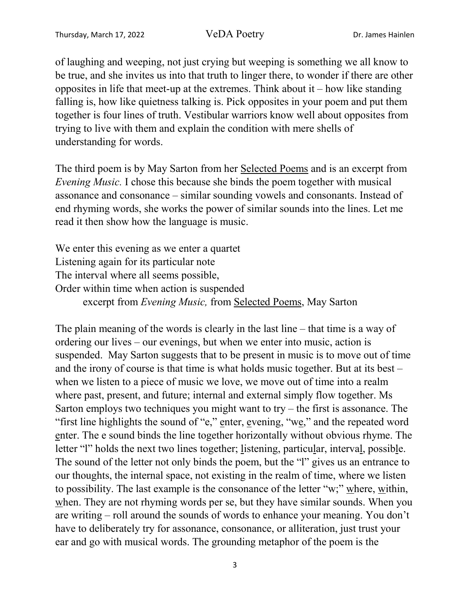of laughing and weeping, not just crying but weeping is something we all know to be true, and she invites us into that truth to linger there, to wonder if there are other opposites in life that meet-up at the extremes. Think about it – how like standing falling is, how like quietness talking is. Pick opposites in your poem and put them together is four lines of truth. Vestibular warriors know well about opposites from trying to live with them and explain the condition with mere shells of understanding for words.

The third poem is by May Sarton from her Selected Poems and is an excerpt from *Evening Music.* I chose this because she binds the poem together with musical assonance and consonance – similar sounding vowels and consonants. Instead of end rhyming words, she works the power of similar sounds into the lines. Let me read it then show how the language is music.

We enter this evening as we enter a quartet Listening again for its particular note The interval where all seems possible, Order within time when action is suspended excerpt from *Evening Music,* from Selected Poems, May Sarton

The plain meaning of the words is clearly in the last line – that time is a way of ordering our lives – our evenings, but when we enter into music, action is suspended. May Sarton suggests that to be present in music is to move out of time and the irony of course is that time is what holds music together. But at its best – when we listen to a piece of music we love, we move out of time into a realm where past, present, and future; internal and external simply flow together. Ms Sarton employs two techniques you might want to  $try$  – the first is assonance. The "first line highlights the sound of "e," enter, evening, "we," and the repeated word enter. The e sound binds the line together horizontally without obvious rhyme. The letter "l" holds the next two lines together; listening, particular, interval, possible. The sound of the letter not only binds the poem, but the "l" gives us an entrance to our thoughts, the internal space, not existing in the realm of time, where we listen to possibility. The last example is the consonance of the letter "w;" where, within, when. They are not rhyming words per se, but they have similar sounds. When you are writing – roll around the sounds of words to enhance your meaning. You don't have to deliberately try for assonance, consonance, or alliteration, just trust your ear and go with musical words. The grounding metaphor of the poem is the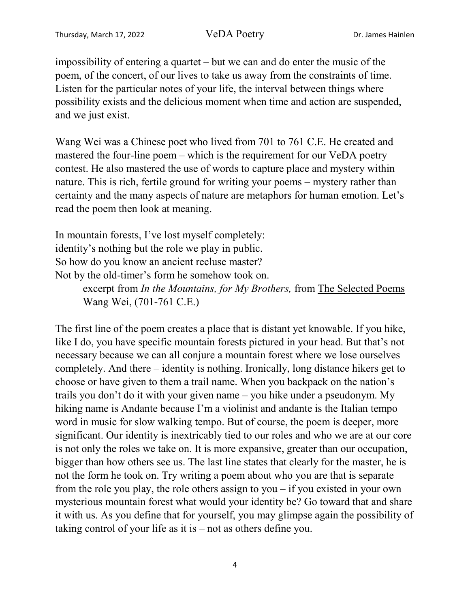impossibility of entering a quartet – but we can and do enter the music of the poem, of the concert, of our lives to take us away from the constraints of time. Listen for the particular notes of your life, the interval between things where possibility exists and the delicious moment when time and action are suspended, and we just exist.

Wang Wei was a Chinese poet who lived from 701 to 761 C.E. He created and mastered the four-line poem – which is the requirement for our VeDA poetry contest. He also mastered the use of words to capture place and mystery within nature. This is rich, fertile ground for writing your poems – mystery rather than certainty and the many aspects of nature are metaphors for human emotion. Let's read the poem then look at meaning.

In mountain forests, I've lost myself completely: identity's nothing but the role we play in public. So how do you know an ancient recluse master? Not by the old-timer's form he somehow took on.

> excerpt from *In the Mountains, for My Brothers,* from The Selected Poems Wang Wei, (701-761 C.E.)

The first line of the poem creates a place that is distant yet knowable. If you hike, like I do, you have specific mountain forests pictured in your head. But that's not necessary because we can all conjure a mountain forest where we lose ourselves completely. And there – identity is nothing. Ironically, long distance hikers get to choose or have given to them a trail name. When you backpack on the nation's trails you don't do it with your given name – you hike under a pseudonym. My hiking name is Andante because I'm a violinist and andante is the Italian tempo word in music for slow walking tempo. But of course, the poem is deeper, more significant. Our identity is inextricably tied to our roles and who we are at our core is not only the roles we take on. It is more expansive, greater than our occupation, bigger than how others see us. The last line states that clearly for the master, he is not the form he took on. Try writing a poem about who you are that is separate from the role you play, the role others assign to you – if you existed in your own mysterious mountain forest what would your identity be? Go toward that and share it with us. As you define that for yourself, you may glimpse again the possibility of taking control of your life as it is – not as others define you.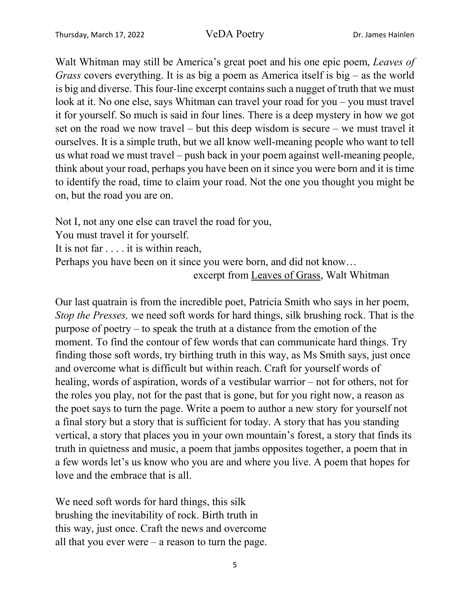Walt Whitman may still be America's great poet and his one epic poem, *Leaves of Grass* covers everything. It is as big a poem as America itself is big – as the world is big and diverse. This four-line excerpt contains such a nugget of truth that we must look at it. No one else, says Whitman can travel your road for you – you must travel it for yourself. So much is said in four lines. There is a deep mystery in how we got set on the road we now travel – but this deep wisdom is secure – we must travel it ourselves. It is a simple truth, but we all know well-meaning people who want to tell us what road we must travel – push back in your poem against well-meaning people, think about your road, perhaps you have been on it since you were born and it is time to identify the road, time to claim your road. Not the one you thought you might be on, but the road you are on.

Not I, not any one else can travel the road for you,

You must travel it for yourself.

It is not far . . . . it is within reach,

Perhaps you have been on it since you were born, and did not know…

excerpt from Leaves of Grass, Walt Whitman

Our last quatrain is from the incredible poet, Patricia Smith who says in her poem, *Stop the Presses,* we need soft words for hard things, silk brushing rock. That is the purpose of poetry – to speak the truth at a distance from the emotion of the moment. To find the contour of few words that can communicate hard things. Try finding those soft words, try birthing truth in this way, as Ms Smith says, just once and overcome what is difficult but within reach. Craft for yourself words of healing, words of aspiration, words of a vestibular warrior – not for others, not for the roles you play, not for the past that is gone, but for you right now, a reason as the poet says to turn the page. Write a poem to author a new story for yourself not a final story but a story that is sufficient for today. A story that has you standing vertical, a story that places you in your own mountain's forest, a story that finds its truth in quietness and music, a poem that jambs opposites together, a poem that in a few words let's us know who you are and where you live. A poem that hopes for love and the embrace that is all.

We need soft words for hard things, this silk brushing the inevitability of rock. Birth truth in this way, just once. Craft the news and overcome all that you ever were – a reason to turn the page.